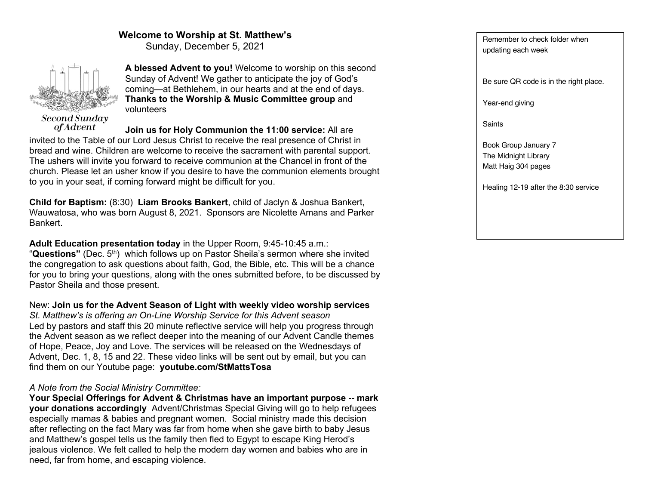## **Welcome to Worship at St. Matthew's**

Sunday, December 5, 2021



*of Advent* 

**A blessed Advent to you!** Welcome to worship on this second Sunday of Advent! We gather to anticipate the joy of God's coming—at Bethlehem, in our hearts and at the end of days. **Thanks to the Worship & Music Committee group** and volunteers

**Join us for Holy Communion the 11:00 service:** All are invited to the Table of our Lord Jesus Christ to receive the real presence of Christ in bread and wine. Children are welcome to receive the sacrament with parental support. The ushers will invite you forward to receive communion at the Chancel in front of the church. Please let an usher know if you desire to have the communion elements brought to you in your seat, if coming forward might be difficult for you.

**Child for Baptism:** (8:30) **Liam Brooks Bankert**, child of Jaclyn & Joshua Bankert, Wauwatosa, who was born August 8, 2021. Sponsors are Nicolette Amans and Parker Bankert.

**Adult Education presentation today** in the Upper Room, 9:45-10:45 a.m.: "**Questions"** (Dec. 5th) which follows up on Pastor Sheila's sermon where she invited the congregation to ask questions about faith, God, the Bible, etc. This will be a chance for you to bring your questions, along with the ones submitted before, to be discussed by Pastor Sheila and those present.

New: **Join us for the Advent Season of Light with weekly video worship services** *St. Matthew's is offering an On-Line Worship Service for this Advent season* Led by pastors and staff this 20 minute reflective service will help you progress through the Advent season as we reflect deeper into the meaning of our Advent Candle themes of Hope, Peace, Joy and Love. The services will be released on the Wednesdays of Advent, Dec. 1, 8, 15 and 22. These video links will be sent out by email, but you can find them on our Youtube page: **youtube.com/StMattsTosa**

## *A Note from the Social Ministry Committee:*

**Your Special Offerings for Advent & Christmas have an important purpose -- mark your donations accordingly** Advent/Christmas Special Giving will go to help refugees especially mamas & babies and pregnant women. Social ministry made this decision after reflecting on the fact Mary was far from home when she gave birth to baby Jesus and Matthew's gospel tells us the family then fled to Egypt to escape King Herod's jealous violence. We felt called to help the modern day women and babies who are in need, far from home, and escaping violence.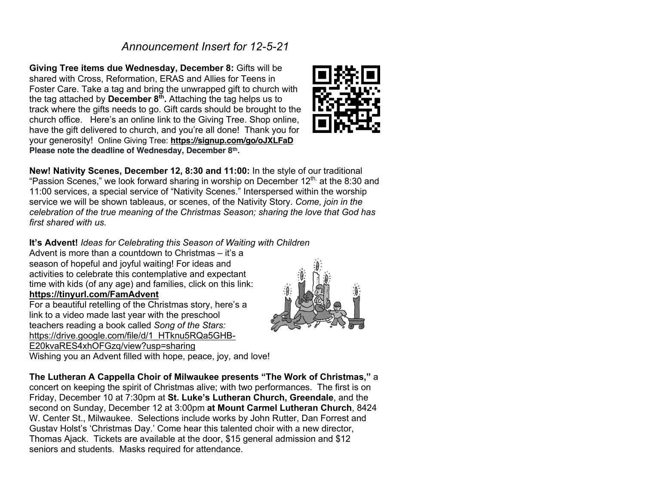# *Announcement Insert for 12-5-21*

**Giving Tree items due Wednesday, December 8:** Gifts will be shared with Cross, Reformation, ERAS and Allies for Teens in Foster Care. Take a tag and bring the unwrapped gift to church with the tag attached by **December 8<sup>th</sup>**. Attaching the tag helps us to track where the gifts needs to go. Gift cards should be brought to the church office. Here's an online link to the Giving Tree. Shop online, have the gift delivered to church, and you're all done! Thank you for your generosity! Online Giving Tree: **https://signup.com/go/oJXLFaD Please note the deadline of Wednesday, December 8th.**



## **It's Advent!** *Ideas for Celebrating this Season of Waiting with Children*

Advent is more than a countdown to Christmas – it's a season of hopeful and joyful waiting! For ideas and activities to celebrate this contemplative and expectant time with kids (of any age) and families, click on this link: **https://tinyurl.com/FamAdvent**

For a beautiful retelling of the Christmas story, here's a link to a video made last year with the preschool teachers reading a book called *Song of the Stars:*  https://drive.google.com/file/d/1\_HTknu5RQa5GHB-E20kvaRES4xhOFGzq/view?usp=sharing Wishing you an Advent filled with hope, peace, joy, and love!



**The Lutheran A Cappella Choir of Milwaukee presents "The Work of Christmas,"** a concert on keeping the spirit of Christmas alive; with two performances. The first is on Friday, December 10 at 7:30pm at **St. Luke's Lutheran Church, Greendale**, and the second on Sunday, December 12 at 3:00pm **at Mount Carmel Lutheran Church**, 8424 W. Center St., Milwaukee. Selections include works by John Rutter, Dan Forrest and Gustav Holst's 'Christmas Day.' Come hear this talented choir with a new director, Thomas Ajack. Tickets are available at the door, \$15 general admission and \$12 seniors and students. Masks required for attendance.

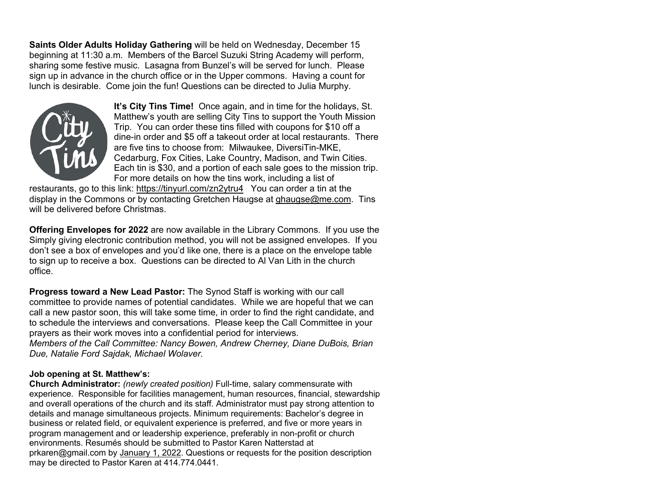**Saints Older Adults Holiday Gathering** will be held on Wednesday, December 15 beginning at 11:30 a.m. Members of the Barcel Suzuki String Academy will perform, sharing some festive music. Lasagna from Bunzel's will be served for lunch. Please sign up in advance in the church office or in the Upper commons. Having a count for lunch is desirable. Come join the fun! Questions can be directed to Julia Murphy.



**It's City Tins Time!** Once again, and in time for the holidays, St. Matthew's youth are selling City Tins to support the Youth Mission Trip. You can order these tins filled with coupons for \$10 off a dine-in order and \$5 off a takeout order at local restaurants. There are five tins to choose from: Milwaukee, DiversiTin-MKE, Cedarburg, Fox Cities, Lake Country, Madison, and Twin Cities. Each tin is \$30, and a portion of each sale goes to the mission trip. For more details on how the tins work, including a list of

restaurants, go to this link: https://tinyurl.com/zn2ytru4You can order a tin at the display in the Commons or by contacting Gretchen Haugse at ghaugse@me.com. Tins will be delivered before Christmas.

**Offering Envelopes for 2022** are now available in the Library Commons. If you use the Simply giving electronic contribution method, you will not be assigned envelopes. If you don't see a box of envelopes and you'd like one, there is a place on the envelope table to sign up to receive a box. Questions can be directed to Al Van Lith in the church office.

**Progress toward a New Lead Pastor:** The Synod Staff is working with our call committee to provide names of potential candidates. While we are hopeful that we can call a new pastor soon, this will take some time, in order to find the right candidate, and to schedule the interviews and conversations. Please keep the Call Committee in your prayers as their work moves into a confidential period for interviews. *Members of the Call Committee: Nancy Bowen, Andrew Cherney, Diane DuBois, Brian Due, Natalie Ford Sajdak, Michael Wolaver.*

## **Job opening at St. Matthew's:**

**Church Administrator:** *(newly created position)* Full-time, salary commensurate with experience. Responsible for facilities management, human resources, financial, stewardship and overall operations of the church and its staff. Administrator must pay strong attention to details and manage simultaneous projects. Minimum requirements: Bachelor's degree in business or related field, or equivalent experience is preferred, and five or more years in program management and or leadership experience, preferably in non-profit or church environments. Resumés should be submitted to Pastor Karen Natterstad at prkaren@gmail.com by January 1, 2022. Questions or requests for the position description may be directed to Pastor Karen at 414.774.0441.